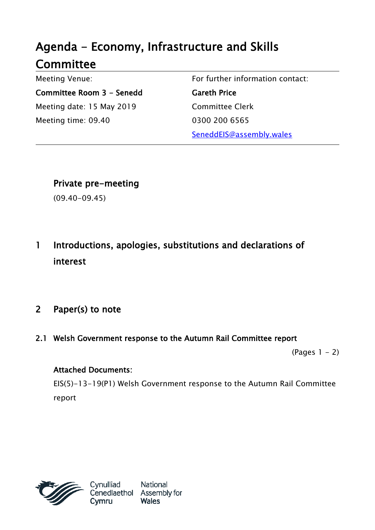# Agenda - Economy, Infrastructure and Skills **Committee**

Meeting Venue: Committee Room 3 - Senedd Meeting date: 15 May 2019 Meeting time: 09.40

For further information contact: Gareth Price Committee Clerk 0300 200 6565 SeneddEIS@assembly.wales

Private pre-meeting

(09.40-09.45)

1 Introductions, apologies, substitutions and declarations of interest

# 2 Paper(s) to note

2.1 Welsh Government response to the Autumn Rail Committee report

 $(Pages 1 - 2)$ 

## Attached Documents:

EIS(5)-13-19(P1) Welsh Government response to the Autumn Rail Committee report



National Cenedlaethol Assembly for **Wales**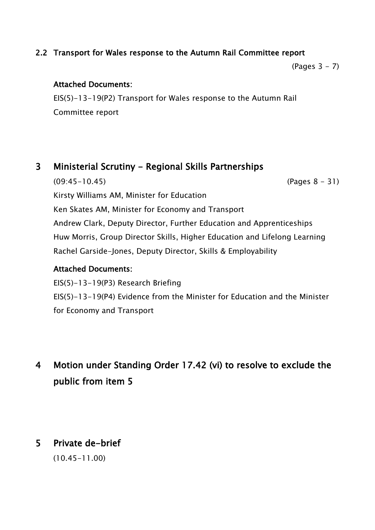### 2.2 Transport for Wales response to the Autumn Rail Committee report

(Pages 3 - 7)

### Attached Documents:

EIS(5)-13-19(P2) Transport for Wales response to the Autumn Rail Committee report

## 3 Ministerial Scrutiny - Regional Skills Partnerships

(09:45-10.45) (Pages 8 - 31) Kirsty Williams AM, Minister for Education Ken Skates AM, Minister for Economy and Transport Andrew Clark, Deputy Director, Further Education and Apprenticeships Huw Morris, Group Director Skills, Higher Education and Lifelong Learning Rachel Garside-Jones, Deputy Director, Skills & Employability

### Attached Documents:

EIS(5)-13-19(P3) Research Briefing EIS(5)-13-19(P4) Evidence from the Minister for Education and the Minister for Economy and Transport

# 4 Motion under Standing Order 17.42 (vi) to resolve to exclude the public from item 5

# 5 Private de-brief

(10.45-11.00)